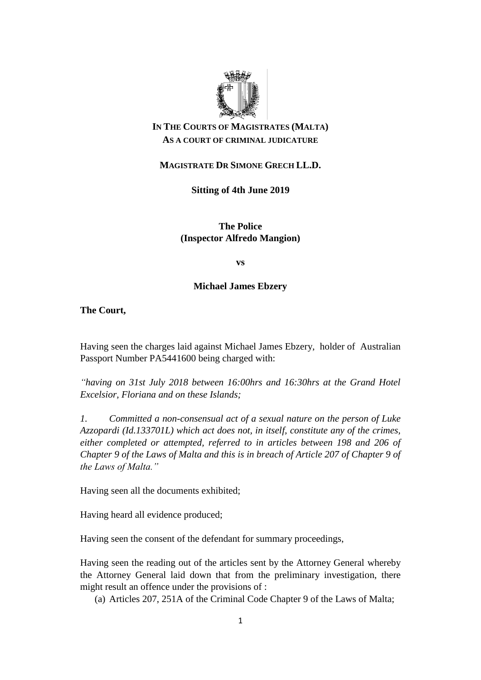

# **IN THE COURTS OF MAGISTRATES (MALTA) AS A COURT OF CRIMINAL JUDICATURE**

# **MAGISTRATE DR SIMONE GRECH LL.D.**

**Sitting of 4th June 2019**

**The Police (Inspector Alfredo Mangion)** 

**vs**

## **Michael James Ebzery**

**The Court,** 

Having seen the charges laid against Michael James Ebzery, holder of Australian Passport Number PA5441600 being charged with:

*"having on 31st July 2018 between 16:00hrs and 16:30hrs at the Grand Hotel Excelsior, Floriana and on these Islands;* 

*1. Committed a non-consensual act of a sexual nature on the person of Luke Azzopardi (Id.133701L) which act does not, in itself, constitute any of the crimes, either completed or attempted, referred to in articles between 198 and 206 of Chapter 9 of the Laws of Malta and this is in breach of Article 207 of Chapter 9 of the Laws of Malta."*

Having seen all the documents exhibited;

Having heard all evidence produced;

Having seen the consent of the defendant for summary proceedings,

Having seen the reading out of the articles sent by the Attorney General whereby the Attorney General laid down that from the preliminary investigation, there might result an offence under the provisions of :

(a) Articles 207, 251A of the Criminal Code Chapter 9 of the Laws of Malta;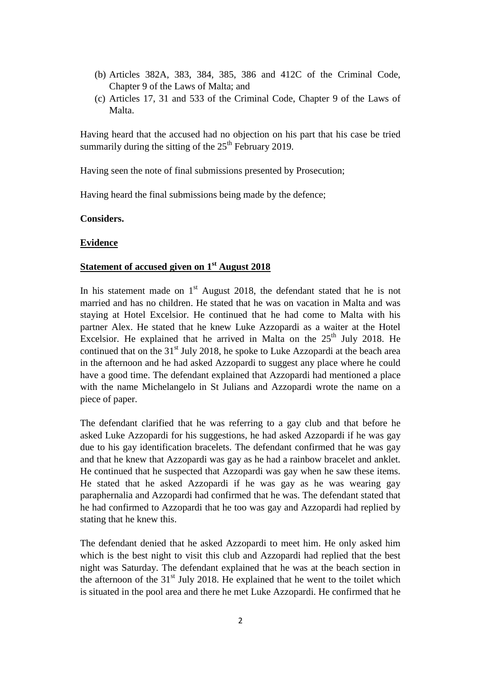- (b) Articles 382A, 383, 384, 385, 386 and 412C of the Criminal Code, Chapter 9 of the Laws of Malta; and
- (c) Articles 17, 31 and 533 of the Criminal Code, Chapter 9 of the Laws of Malta.

Having heard that the accused had no objection on his part that his case be tried summarily during the sitting of the  $25<sup>th</sup>$  February 2019.

Having seen the note of final submissions presented by Prosecution;

Having heard the final submissions being made by the defence;

**Considers.**

### **Evidence**

## **Statement of accused given on 1st August 2018**

In his statement made on  $1<sup>st</sup>$  August 2018, the defendant stated that he is not married and has no children. He stated that he was on vacation in Malta and was staying at Hotel Excelsior. He continued that he had come to Malta with his partner Alex. He stated that he knew Luke Azzopardi as a waiter at the Hotel Excelsior. He explained that he arrived in Malta on the  $25<sup>th</sup>$  July 2018. He continued that on the  $31<sup>st</sup>$  July 2018, he spoke to Luke Azzopardi at the beach area in the afternoon and he had asked Azzopardi to suggest any place where he could have a good time. The defendant explained that Azzopardi had mentioned a place with the name Michelangelo in St Julians and Azzopardi wrote the name on a piece of paper.

The defendant clarified that he was referring to a gay club and that before he asked Luke Azzopardi for his suggestions, he had asked Azzopardi if he was gay due to his gay identification bracelets. The defendant confirmed that he was gay and that he knew that Azzopardi was gay as he had a rainbow bracelet and anklet. He continued that he suspected that Azzopardi was gay when he saw these items. He stated that he asked Azzopardi if he was gay as he was wearing gay paraphernalia and Azzopardi had confirmed that he was. The defendant stated that he had confirmed to Azzopardi that he too was gay and Azzopardi had replied by stating that he knew this.

The defendant denied that he asked Azzopardi to meet him. He only asked him which is the best night to visit this club and Azzopardi had replied that the best night was Saturday. The defendant explained that he was at the beach section in the afternoon of the  $31<sup>st</sup>$  July 2018. He explained that he went to the toilet which is situated in the pool area and there he met Luke Azzopardi. He confirmed that he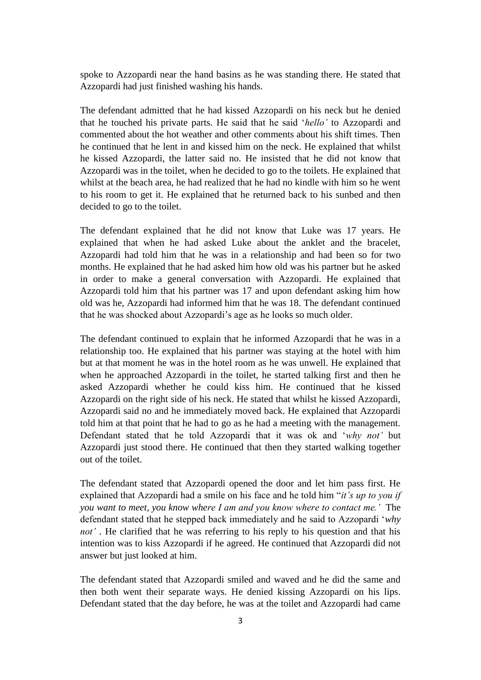spoke to Azzopardi near the hand basins as he was standing there. He stated that Azzopardi had just finished washing his hands.

The defendant admitted that he had kissed Azzopardi on his neck but he denied that he touched his private parts. He said that he said '*hello'* to Azzopardi and commented about the hot weather and other comments about his shift times. Then he continued that he lent in and kissed him on the neck. He explained that whilst he kissed Azzopardi, the latter said no. He insisted that he did not know that Azzopardi was in the toilet, when he decided to go to the toilets. He explained that whilst at the beach area, he had realized that he had no kindle with him so he went to his room to get it. He explained that he returned back to his sunbed and then decided to go to the toilet.

The defendant explained that he did not know that Luke was 17 years. He explained that when he had asked Luke about the anklet and the bracelet, Azzopardi had told him that he was in a relationship and had been so for two months. He explained that he had asked him how old was his partner but he asked in order to make a general conversation with Azzopardi. He explained that Azzopardi told him that his partner was 17 and upon defendant asking him how old was he, Azzopardi had informed him that he was 18. The defendant continued that he was shocked about Azzopardi's age as he looks so much older.

The defendant continued to explain that he informed Azzopardi that he was in a relationship too. He explained that his partner was staying at the hotel with him but at that moment he was in the hotel room as he was unwell. He explained that when he approached Azzopardi in the toilet, he started talking first and then he asked Azzopardi whether he could kiss him. He continued that he kissed Azzopardi on the right side of his neck. He stated that whilst he kissed Azzopardi, Azzopardi said no and he immediately moved back. He explained that Azzopardi told him at that point that he had to go as he had a meeting with the management. Defendant stated that he told Azzopardi that it was ok and '*why not'* but Azzopardi just stood there. He continued that then they started walking together out of the toilet.

The defendant stated that Azzopardi opened the door and let him pass first. He explained that Azzopardi had a smile on his face and he told him "*it's up to you if you want to meet, you know where I am and you know where to contact me.'* The defendant stated that he stepped back immediately and he said to Azzopardi '*why not'* . He clarified that he was referring to his reply to his question and that his intention was to kiss Azzopardi if he agreed. He continued that Azzopardi did not answer but just looked at him.

The defendant stated that Azzopardi smiled and waved and he did the same and then both went their separate ways. He denied kissing Azzopardi on his lips. Defendant stated that the day before, he was at the toilet and Azzopardi had came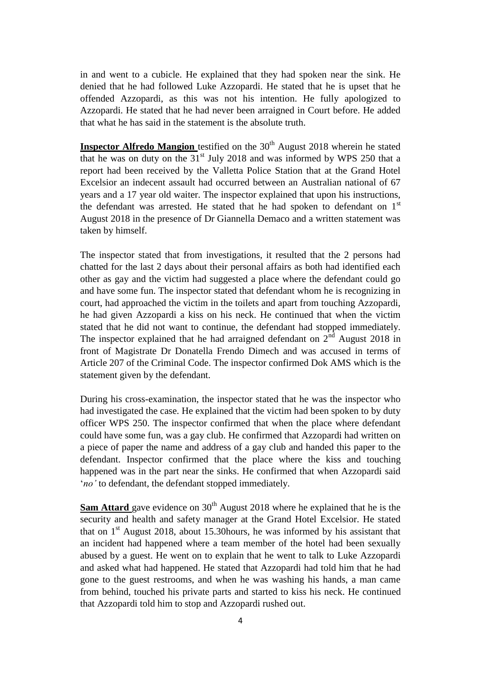in and went to a cubicle. He explained that they had spoken near the sink. He denied that he had followed Luke Azzopardi. He stated that he is upset that he offended Azzopardi, as this was not his intention. He fully apologized to Azzopardi. He stated that he had never been arraigned in Court before. He added that what he has said in the statement is the absolute truth.

**Inspector Alfredo Mangion** testified on the 30<sup>th</sup> August 2018 wherein he stated that he was on duty on the  $31<sup>st</sup>$  July 2018 and was informed by WPS 250 that a report had been received by the Valletta Police Station that at the Grand Hotel Excelsior an indecent assault had occurred between an Australian national of 67 years and a 17 year old waiter. The inspector explained that upon his instructions, the defendant was arrested. He stated that he had spoken to defendant on  $1<sup>st</sup>$ August 2018 in the presence of Dr Giannella Demaco and a written statement was taken by himself.

The inspector stated that from investigations, it resulted that the 2 persons had chatted for the last 2 days about their personal affairs as both had identified each other as gay and the victim had suggested a place where the defendant could go and have some fun. The inspector stated that defendant whom he is recognizing in court, had approached the victim in the toilets and apart from touching Azzopardi, he had given Azzopardi a kiss on his neck. He continued that when the victim stated that he did not want to continue, the defendant had stopped immediately. The inspector explained that he had arraigned defendant on  $2<sup>nd</sup>$  August 2018 in front of Magistrate Dr Donatella Frendo Dimech and was accused in terms of Article 207 of the Criminal Code. The inspector confirmed Dok AMS which is the statement given by the defendant.

During his cross-examination, the inspector stated that he was the inspector who had investigated the case. He explained that the victim had been spoken to by duty officer WPS 250. The inspector confirmed that when the place where defendant could have some fun, was a gay club. He confirmed that Azzopardi had written on a piece of paper the name and address of a gay club and handed this paper to the defendant. Inspector confirmed that the place where the kiss and touching happened was in the part near the sinks. He confirmed that when Azzopardi said '*no'* to defendant, the defendant stopped immediately.

**Sam Attard** gave evidence on 30<sup>th</sup> August 2018 where he explained that he is the security and health and safety manager at the Grand Hotel Excelsior. He stated that on  $1<sup>st</sup>$  August 2018, about 15.30 hours, he was informed by his assistant that an incident had happened where a team member of the hotel had been sexually abused by a guest. He went on to explain that he went to talk to Luke Azzopardi and asked what had happened. He stated that Azzopardi had told him that he had gone to the guest restrooms, and when he was washing his hands, a man came from behind, touched his private parts and started to kiss his neck. He continued that Azzopardi told him to stop and Azzopardi rushed out.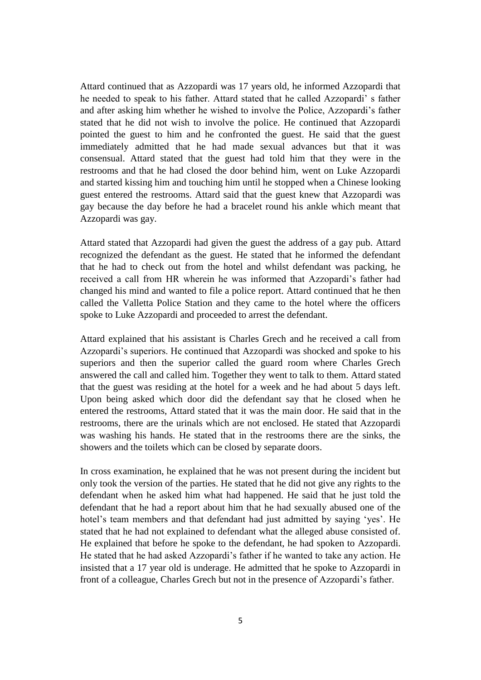Attard continued that as Azzopardi was 17 years old, he informed Azzopardi that he needed to speak to his father. Attard stated that he called Azzopardi' s father and after asking him whether he wished to involve the Police, Azzopardi's father stated that he did not wish to involve the police. He continued that Azzopardi pointed the guest to him and he confronted the guest. He said that the guest immediately admitted that he had made sexual advances but that it was consensual. Attard stated that the guest had told him that they were in the restrooms and that he had closed the door behind him, went on Luke Azzopardi and started kissing him and touching him until he stopped when a Chinese looking guest entered the restrooms. Attard said that the guest knew that Azzopardi was gay because the day before he had a bracelet round his ankle which meant that Azzopardi was gay.

Attard stated that Azzopardi had given the guest the address of a gay pub. Attard recognized the defendant as the guest. He stated that he informed the defendant that he had to check out from the hotel and whilst defendant was packing, he received a call from HR wherein he was informed that Azzopardi's father had changed his mind and wanted to file a police report. Attard continued that he then called the Valletta Police Station and they came to the hotel where the officers spoke to Luke Azzopardi and proceeded to arrest the defendant.

Attard explained that his assistant is Charles Grech and he received a call from Azzopardi's superiors. He continued that Azzopardi was shocked and spoke to his superiors and then the superior called the guard room where Charles Grech answered the call and called him. Together they went to talk to them. Attard stated that the guest was residing at the hotel for a week and he had about 5 days left. Upon being asked which door did the defendant say that he closed when he entered the restrooms, Attard stated that it was the main door. He said that in the restrooms, there are the urinals which are not enclosed. He stated that Azzopardi was washing his hands. He stated that in the restrooms there are the sinks, the showers and the toilets which can be closed by separate doors.

In cross examination, he explained that he was not present during the incident but only took the version of the parties. He stated that he did not give any rights to the defendant when he asked him what had happened. He said that he just told the defendant that he had a report about him that he had sexually abused one of the hotel's team members and that defendant had just admitted by saying 'yes'. He stated that he had not explained to defendant what the alleged abuse consisted of. He explained that before he spoke to the defendant, he had spoken to Azzopardi. He stated that he had asked Azzopardi's father if he wanted to take any action. He insisted that a 17 year old is underage. He admitted that he spoke to Azzopardi in front of a colleague, Charles Grech but not in the presence of Azzopardi's father.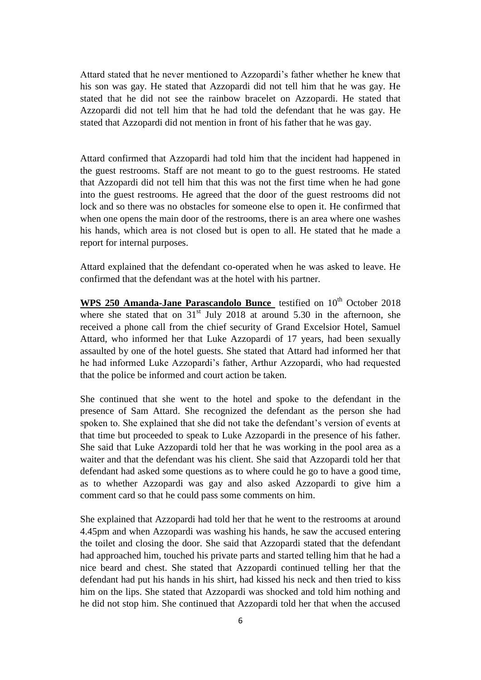Attard stated that he never mentioned to Azzopardi's father whether he knew that his son was gay. He stated that Azzopardi did not tell him that he was gay. He stated that he did not see the rainbow bracelet on Azzopardi. He stated that Azzopardi did not tell him that he had told the defendant that he was gay. He stated that Azzopardi did not mention in front of his father that he was gay.

Attard confirmed that Azzopardi had told him that the incident had happened in the guest restrooms. Staff are not meant to go to the guest restrooms. He stated that Azzopardi did not tell him that this was not the first time when he had gone into the guest restrooms. He agreed that the door of the guest restrooms did not lock and so there was no obstacles for someone else to open it. He confirmed that when one opens the main door of the restrooms, there is an area where one washes his hands, which area is not closed but is open to all. He stated that he made a report for internal purposes.

Attard explained that the defendant co-operated when he was asked to leave. He confirmed that the defendant was at the hotel with his partner.

WPS 250 Amanda-Jane Parascandolo Bunce lestified on 10<sup>th</sup> October 2018 where she stated that on  $31<sup>st</sup>$  July 2018 at around 5.30 in the afternoon, she received a phone call from the chief security of Grand Excelsior Hotel, Samuel Attard, who informed her that Luke Azzopardi of 17 years, had been sexually assaulted by one of the hotel guests. She stated that Attard had informed her that he had informed Luke Azzopardi's father, Arthur Azzopardi, who had requested that the police be informed and court action be taken.

She continued that she went to the hotel and spoke to the defendant in the presence of Sam Attard. She recognized the defendant as the person she had spoken to. She explained that she did not take the defendant's version of events at that time but proceeded to speak to Luke Azzopardi in the presence of his father. She said that Luke Azzopardi told her that he was working in the pool area as a waiter and that the defendant was his client. She said that Azzopardi told her that defendant had asked some questions as to where could he go to have a good time, as to whether Azzopardi was gay and also asked Azzopardi to give him a comment card so that he could pass some comments on him.

She explained that Azzopardi had told her that he went to the restrooms at around 4.45pm and when Azzopardi was washing his hands, he saw the accused entering the toilet and closing the door. She said that Azzopardi stated that the defendant had approached him, touched his private parts and started telling him that he had a nice beard and chest. She stated that Azzopardi continued telling her that the defendant had put his hands in his shirt, had kissed his neck and then tried to kiss him on the lips. She stated that Azzopardi was shocked and told him nothing and he did not stop him. She continued that Azzopardi told her that when the accused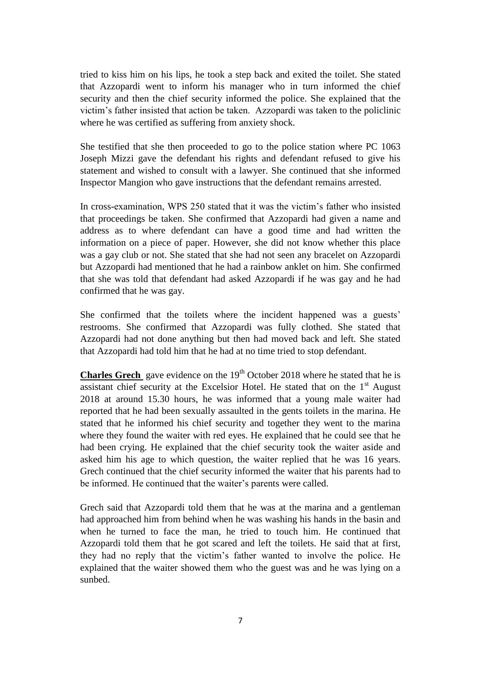tried to kiss him on his lips, he took a step back and exited the toilet. She stated that Azzopardi went to inform his manager who in turn informed the chief security and then the chief security informed the police. She explained that the victim's father insisted that action be taken. Azzopardi was taken to the policlinic where he was certified as suffering from anxiety shock.

She testified that she then proceeded to go to the police station where PC 1063 Joseph Mizzi gave the defendant his rights and defendant refused to give his statement and wished to consult with a lawyer. She continued that she informed Inspector Mangion who gave instructions that the defendant remains arrested.

In cross-examination, WPS 250 stated that it was the victim's father who insisted that proceedings be taken. She confirmed that Azzopardi had given a name and address as to where defendant can have a good time and had written the information on a piece of paper. However, she did not know whether this place was a gay club or not. She stated that she had not seen any bracelet on Azzopardi but Azzopardi had mentioned that he had a rainbow anklet on him. She confirmed that she was told that defendant had asked Azzopardi if he was gay and he had confirmed that he was gay.

She confirmed that the toilets where the incident happened was a guests' restrooms. She confirmed that Azzopardi was fully clothed. She stated that Azzopardi had not done anything but then had moved back and left. She stated that Azzopardi had told him that he had at no time tried to stop defendant.

**Charles Grech** gave evidence on the 19<sup>th</sup> October 2018 where he stated that he is assistant chief security at the Excelsior Hotel. He stated that on the  $1<sup>st</sup>$  August 2018 at around 15.30 hours, he was informed that a young male waiter had reported that he had been sexually assaulted in the gents toilets in the marina. He stated that he informed his chief security and together they went to the marina where they found the waiter with red eyes. He explained that he could see that he had been crying. He explained that the chief security took the waiter aside and asked him his age to which question, the waiter replied that he was 16 years. Grech continued that the chief security informed the waiter that his parents had to be informed. He continued that the waiter's parents were called.

Grech said that Azzopardi told them that he was at the marina and a gentleman had approached him from behind when he was washing his hands in the basin and when he turned to face the man, he tried to touch him. He continued that Azzopardi told them that he got scared and left the toilets. He said that at first, they had no reply that the victim's father wanted to involve the police. He explained that the waiter showed them who the guest was and he was lying on a sunbed.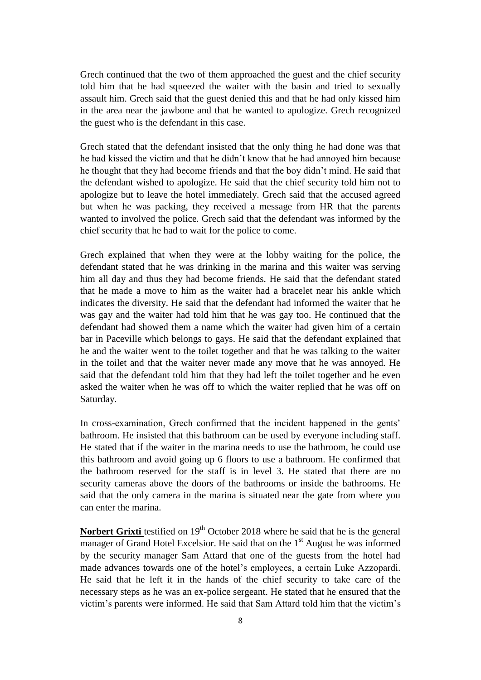Grech continued that the two of them approached the guest and the chief security told him that he had squeezed the waiter with the basin and tried to sexually assault him. Grech said that the guest denied this and that he had only kissed him in the area near the jawbone and that he wanted to apologize. Grech recognized the guest who is the defendant in this case.

Grech stated that the defendant insisted that the only thing he had done was that he had kissed the victim and that he didn't know that he had annoyed him because he thought that they had become friends and that the boy didn't mind. He said that the defendant wished to apologize. He said that the chief security told him not to apologize but to leave the hotel immediately. Grech said that the accused agreed but when he was packing, they received a message from HR that the parents wanted to involved the police. Grech said that the defendant was informed by the chief security that he had to wait for the police to come.

Grech explained that when they were at the lobby waiting for the police, the defendant stated that he was drinking in the marina and this waiter was serving him all day and thus they had become friends. He said that the defendant stated that he made a move to him as the waiter had a bracelet near his ankle which indicates the diversity. He said that the defendant had informed the waiter that he was gay and the waiter had told him that he was gay too. He continued that the defendant had showed them a name which the waiter had given him of a certain bar in Paceville which belongs to gays. He said that the defendant explained that he and the waiter went to the toilet together and that he was talking to the waiter in the toilet and that the waiter never made any move that he was annoyed. He said that the defendant told him that they had left the toilet together and he even asked the waiter when he was off to which the waiter replied that he was off on Saturday.

In cross-examination, Grech confirmed that the incident happened in the gents' bathroom. He insisted that this bathroom can be used by everyone including staff. He stated that if the waiter in the marina needs to use the bathroom, he could use this bathroom and avoid going up 6 floors to use a bathroom. He confirmed that the bathroom reserved for the staff is in level 3. He stated that there are no security cameras above the doors of the bathrooms or inside the bathrooms. He said that the only camera in the marina is situated near the gate from where you can enter the marina.

**Norbert Grixti** testified on 19<sup>th</sup> October 2018 where he said that he is the general manager of Grand Hotel Excelsior. He said that on the 1<sup>st</sup> August he was informed by the security manager Sam Attard that one of the guests from the hotel had made advances towards one of the hotel's employees, a certain Luke Azzopardi. He said that he left it in the hands of the chief security to take care of the necessary steps as he was an ex-police sergeant. He stated that he ensured that the victim's parents were informed. He said that Sam Attard told him that the victim's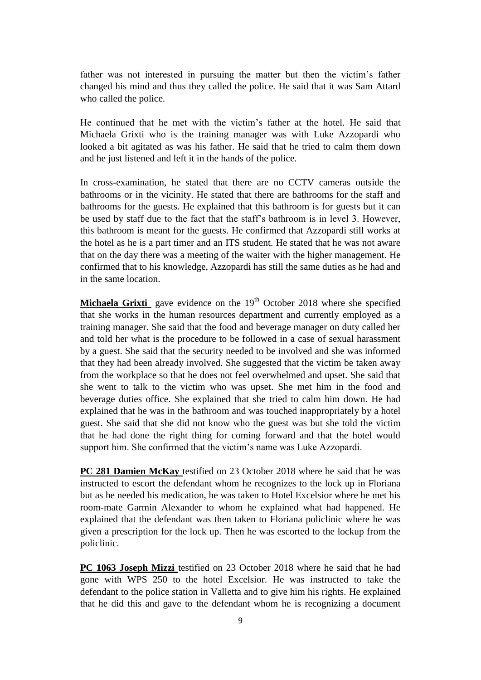father was not interested in pursuing the matter but then the victim's father changed his mind and thus they called the police. He said that it was Sam Attard who called the police.

He continued that he met with the victim's father at the hotel. He said that Michaela Grixti who is the training manager was with Luke Azzopardi who looked a bit agitated as was his father. He said that he tried to calm them down and he just listened and left it in the hands of the police.

In cross-examination, he stated that there are no CCTV cameras outside the bathrooms or in the vicinity. He stated that there are bathrooms for the staff and bathrooms for the guests. He explained that this bathroom is for guests but it can be used by staff due to the fact that the staff's bathroom is in level 3. However, this bathroom is meant for the guests. He confirmed that Azzopardi still works at the hotel as he is a part timer and an ITS student. He stated that he was not aware that on the day there was a meeting of the waiter with the higher management. He confirmed that to his knowledge, Azzopardi has still the same duties as he had and in the same location.

**Michaela Grixti** gave evidence on the 19<sup>th</sup> October 2018 where she specified that she works in the human resources department and currently employed as a training manager. She said that the food and beverage manager on duty called her and told her what is the procedure to be followed in a case of sexual harassment by a guest. She said that the security needed to be involved and she was informed that they had been already involved. She suggested that the victim be taken away from the workplace so that he does not feel overwhelmed and upset. She said that she went to talk to the victim who was upset. She met him in the food and beverage duties office. She explained that she tried to calm him down. He had explained that he was in the bathroom and was touched inappropriately by a hotel guest. She said that she did not know who the guest was but she told the victim that he had done the right thing for coming forward and that the hotel would support him. She confirmed that the victim's name was Luke Azzopardi.

**PC 281 Damien McKay** testified on 23 October 2018 where he said that he was instructed to escort the defendant whom he recognizes to the lock up in Floriana but as he needed his medication, he was taken to Hotel Excelsior where he met his room-mate Garmin Alexander to whom he explained what had happened. He explained that the defendant was then taken to Floriana policlinic where he was given a prescription for the lock up. Then he was escorted to the lockup from the policlinic.

**PC 1063 Joseph Mizzi** testified on 23 October 2018 where he said that he had gone with WPS 250 to the hotel Excelsior. He was instructed to take the defendant to the police station in Valletta and to give him his rights. He explained that he did this and gave to the defendant whom he is recognizing a document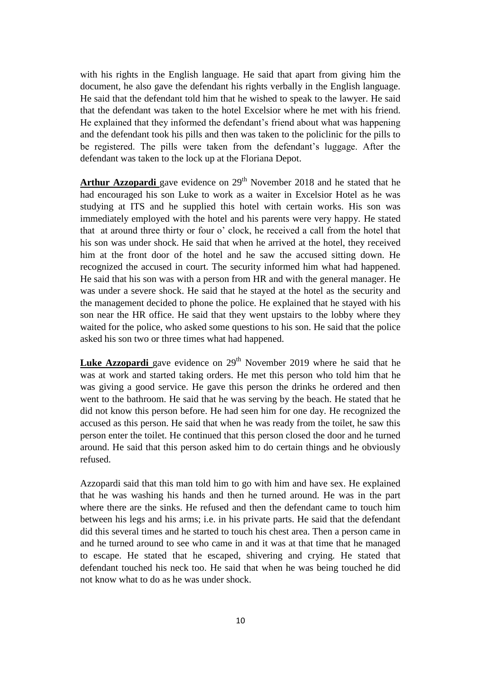with his rights in the English language. He said that apart from giving him the document, he also gave the defendant his rights verbally in the English language. He said that the defendant told him that he wished to speak to the lawyer. He said that the defendant was taken to the hotel Excelsior where he met with his friend. He explained that they informed the defendant's friend about what was happening and the defendant took his pills and then was taken to the policlinic for the pills to be registered. The pills were taken from the defendant's luggage. After the defendant was taken to the lock up at the Floriana Depot.

**Arthur Azzopardi** gave evidence on  $29<sup>th</sup>$  November 2018 and he stated that he had encouraged his son Luke to work as a waiter in Excelsior Hotel as he was studying at ITS and he supplied this hotel with certain works. His son was immediately employed with the hotel and his parents were very happy. He stated that at around three thirty or four o' clock, he received a call from the hotel that his son was under shock. He said that when he arrived at the hotel, they received him at the front door of the hotel and he saw the accused sitting down. He recognized the accused in court. The security informed him what had happened. He said that his son was with a person from HR and with the general manager. He was under a severe shock. He said that he stayed at the hotel as the security and the management decided to phone the police. He explained that he stayed with his son near the HR office. He said that they went upstairs to the lobby where they waited for the police, who asked some questions to his son. He said that the police asked his son two or three times what had happened.

**Luke Azzopardi** gave evidence on 29<sup>th</sup> November 2019 where he said that he was at work and started taking orders. He met this person who told him that he was giving a good service. He gave this person the drinks he ordered and then went to the bathroom. He said that he was serving by the beach. He stated that he did not know this person before. He had seen him for one day. He recognized the accused as this person. He said that when he was ready from the toilet, he saw this person enter the toilet. He continued that this person closed the door and he turned around. He said that this person asked him to do certain things and he obviously refused.

Azzopardi said that this man told him to go with him and have sex. He explained that he was washing his hands and then he turned around. He was in the part where there are the sinks. He refused and then the defendant came to touch him between his legs and his arms; i.e. in his private parts. He said that the defendant did this several times and he started to touch his chest area. Then a person came in and he turned around to see who came in and it was at that time that he managed to escape. He stated that he escaped, shivering and crying. He stated that defendant touched his neck too. He said that when he was being touched he did not know what to do as he was under shock.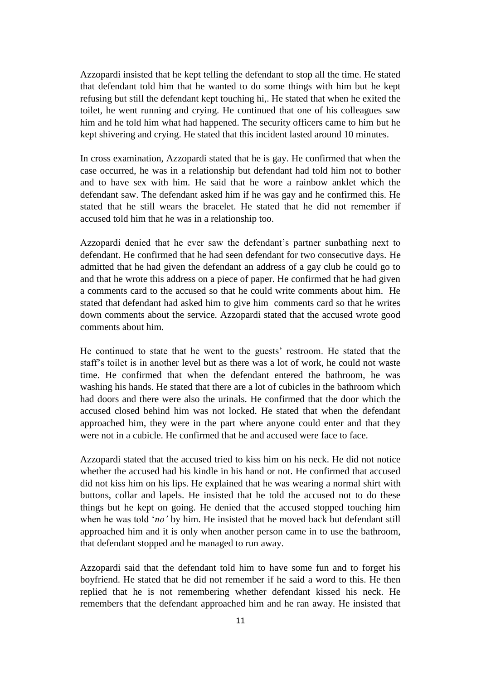Azzopardi insisted that he kept telling the defendant to stop all the time. He stated that defendant told him that he wanted to do some things with him but he kept refusing but still the defendant kept touching hi,. He stated that when he exited the toilet, he went running and crying. He continued that one of his colleagues saw him and he told him what had happened. The security officers came to him but he kept shivering and crying. He stated that this incident lasted around 10 minutes.

In cross examination, Azzopardi stated that he is gay. He confirmed that when the case occurred, he was in a relationship but defendant had told him not to bother and to have sex with him. He said that he wore a rainbow anklet which the defendant saw. The defendant asked him if he was gay and he confirmed this. He stated that he still wears the bracelet. He stated that he did not remember if accused told him that he was in a relationship too.

Azzopardi denied that he ever saw the defendant's partner sunbathing next to defendant. He confirmed that he had seen defendant for two consecutive days. He admitted that he had given the defendant an address of a gay club he could go to and that he wrote this address on a piece of paper. He confirmed that he had given a comments card to the accused so that he could write comments about him. He stated that defendant had asked him to give him comments card so that he writes down comments about the service. Azzopardi stated that the accused wrote good comments about him.

He continued to state that he went to the guests' restroom. He stated that the staff's toilet is in another level but as there was a lot of work, he could not waste time. He confirmed that when the defendant entered the bathroom, he was washing his hands. He stated that there are a lot of cubicles in the bathroom which had doors and there were also the urinals. He confirmed that the door which the accused closed behind him was not locked. He stated that when the defendant approached him, they were in the part where anyone could enter and that they were not in a cubicle. He confirmed that he and accused were face to face.

Azzopardi stated that the accused tried to kiss him on his neck. He did not notice whether the accused had his kindle in his hand or not. He confirmed that accused did not kiss him on his lips. He explained that he was wearing a normal shirt with buttons, collar and lapels. He insisted that he told the accused not to do these things but he kept on going. He denied that the accused stopped touching him when he was told '*no'* by him. He insisted that he moved back but defendant still approached him and it is only when another person came in to use the bathroom, that defendant stopped and he managed to run away.

Azzopardi said that the defendant told him to have some fun and to forget his boyfriend. He stated that he did not remember if he said a word to this. He then replied that he is not remembering whether defendant kissed his neck. He remembers that the defendant approached him and he ran away. He insisted that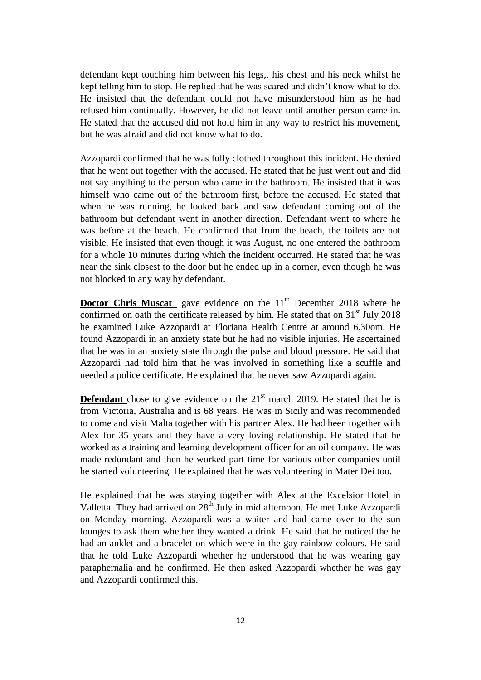defendant kept touching him between his legs,, his chest and his neck whilst he kept telling him to stop. He replied that he was scared and didn't know what to do. He insisted that the defendant could not have misunderstood him as he had refused him continually. However, he did not leave until another person came in. He stated that the accused did not hold him in any way to restrict his movement, but he was afraid and did not know what to do.

Azzopardi confirmed that he was fully clothed throughout this incident. He denied that he went out together with the accused. He stated that he just went out and did not say anything to the person who came in the bathroom. He insisted that it was himself who came out of the bathroom first, before the accused. He stated that when he was running, he looked back and saw defendant coming out of the bathroom but defendant went in another direction. Defendant went to where he was before at the beach. He confirmed that from the beach, the toilets are not visible. He insisted that even though it was August, no one entered the bathroom for a whole 10 minutes during which the incident occurred. He stated that he was near the sink closest to the door but he ended up in a corner, even though he was not blocked in any way by defendant.

**Doctor Chris Muscat** gave evidence on the 11<sup>th</sup> December 2018 where he confirmed on oath the certificate released by him. He stated that on  $31<sup>st</sup>$  July 2018 he examined Luke Azzopardi at Floriana Health Centre at around 6.30om. He found Azzopardi in an anxiety state but he had no visible injuries. He ascertained that he was in an anxiety state through the pulse and blood pressure. He said that Azzopardi had told him that he was involved in something like a scuffle and needed a police certificate. He explained that he never saw Azzopardi again.

**Defendant** chose to give evidence on the  $21<sup>st</sup>$  march 2019. He stated that he is from Victoria, Australia and is 68 years. He was in Sicily and was recommended to come and visit Malta together with his partner Alex. He had been together with Alex for 35 years and they have a very loving relationship. He stated that he worked as a training and learning development officer for an oil company. He was made redundant and then he worked part time for various other companies until he started volunteering. He explained that he was volunteering in Mater Dei too.

He explained that he was staying together with Alex at the Excelsior Hotel in Valletta. They had arrived on  $28<sup>th</sup>$  July in mid afternoon. He met Luke Azzopardi on Monday morning. Azzopardi was a waiter and had came over to the sun lounges to ask them whether they wanted a drink. He said that he noticed the he had an anklet and a bracelet on which were in the gay rainbow colours. He said that he told Luke Azzopardi whether he understood that he was wearing gay paraphernalia and he confirmed. He then asked Azzopardi whether he was gay and Azzopardi confirmed this.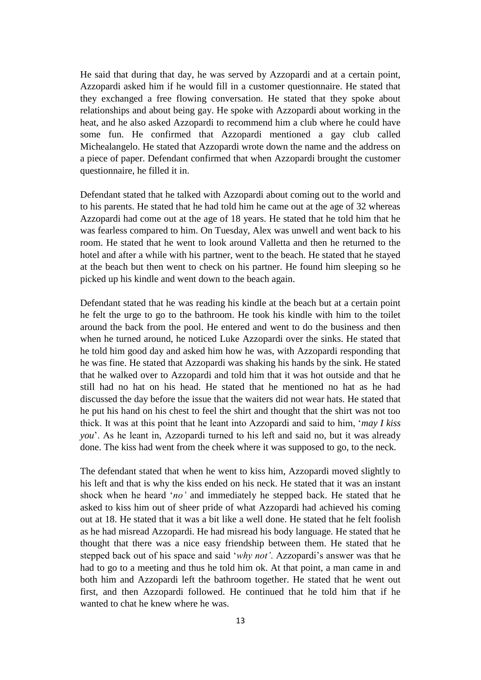He said that during that day, he was served by Azzopardi and at a certain point, Azzopardi asked him if he would fill in a customer questionnaire. He stated that they exchanged a free flowing conversation. He stated that they spoke about relationships and about being gay. He spoke with Azzopardi about working in the heat, and he also asked Azzopardi to recommend him a club where he could have some fun. He confirmed that Azzopardi mentioned a gay club called Michealangelo. He stated that Azzopardi wrote down the name and the address on a piece of paper. Defendant confirmed that when Azzopardi brought the customer questionnaire, he filled it in.

Defendant stated that he talked with Azzopardi about coming out to the world and to his parents. He stated that he had told him he came out at the age of 32 whereas Azzopardi had come out at the age of 18 years. He stated that he told him that he was fearless compared to him. On Tuesday, Alex was unwell and went back to his room. He stated that he went to look around Valletta and then he returned to the hotel and after a while with his partner, went to the beach. He stated that he stayed at the beach but then went to check on his partner. He found him sleeping so he picked up his kindle and went down to the beach again.

Defendant stated that he was reading his kindle at the beach but at a certain point he felt the urge to go to the bathroom. He took his kindle with him to the toilet around the back from the pool. He entered and went to do the business and then when he turned around, he noticed Luke Azzopardi over the sinks. He stated that he told him good day and asked him how he was, with Azzopardi responding that he was fine. He stated that Azzopardi was shaking his hands by the sink. He stated that he walked over to Azzopardi and told him that it was hot outside and that he still had no hat on his head. He stated that he mentioned no hat as he had discussed the day before the issue that the waiters did not wear hats. He stated that he put his hand on his chest to feel the shirt and thought that the shirt was not too thick. It was at this point that he leant into Azzopardi and said to him, '*may I kiss you*'. As he leant in, Azzopardi turned to his left and said no, but it was already done. The kiss had went from the cheek where it was supposed to go, to the neck.

The defendant stated that when he went to kiss him, Azzopardi moved slightly to his left and that is why the kiss ended on his neck. He stated that it was an instant shock when he heard '*no'* and immediately he stepped back. He stated that he asked to kiss him out of sheer pride of what Azzopardi had achieved his coming out at 18. He stated that it was a bit like a well done. He stated that he felt foolish as he had misread Azzopardi. He had misread his body language. He stated that he thought that there was a nice easy friendship between them. He stated that he stepped back out of his space and said '*why not'*. Azzopardi's answer was that he had to go to a meeting and thus he told him ok. At that point, a man came in and both him and Azzopardi left the bathroom together. He stated that he went out first, and then Azzopardi followed. He continued that he told him that if he wanted to chat he knew where he was.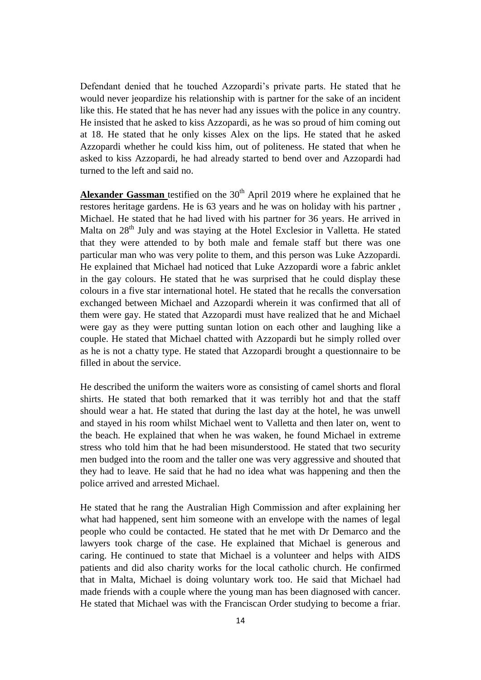Defendant denied that he touched Azzopardi's private parts. He stated that he would never jeopardize his relationship with is partner for the sake of an incident like this. He stated that he has never had any issues with the police in any country. He insisted that he asked to kiss Azzopardi, as he was so proud of him coming out at 18. He stated that he only kisses Alex on the lips. He stated that he asked Azzopardi whether he could kiss him, out of politeness. He stated that when he asked to kiss Azzopardi, he had already started to bend over and Azzopardi had turned to the left and said no.

Alexander Gassman testified on the 30<sup>th</sup> April 2019 where he explained that he restores heritage gardens. He is 63 years and he was on holiday with his partner , Michael. He stated that he had lived with his partner for 36 years. He arrived in Malta on 28<sup>th</sup> July and was staying at the Hotel Exclesior in Valletta. He stated that they were attended to by both male and female staff but there was one particular man who was very polite to them, and this person was Luke Azzopardi. He explained that Michael had noticed that Luke Azzopardi wore a fabric anklet in the gay colours. He stated that he was surprised that he could display these colours in a five star international hotel. He stated that he recalls the conversation exchanged between Michael and Azzopardi wherein it was confirmed that all of them were gay. He stated that Azzopardi must have realized that he and Michael were gay as they were putting suntan lotion on each other and laughing like a couple. He stated that Michael chatted with Azzopardi but he simply rolled over as he is not a chatty type. He stated that Azzopardi brought a questionnaire to be filled in about the service.

He described the uniform the waiters wore as consisting of camel shorts and floral shirts. He stated that both remarked that it was terribly hot and that the staff should wear a hat. He stated that during the last day at the hotel, he was unwell and stayed in his room whilst Michael went to Valletta and then later on, went to the beach. He explained that when he was waken, he found Michael in extreme stress who told him that he had been misunderstood. He stated that two security men budged into the room and the taller one was very aggressive and shouted that they had to leave. He said that he had no idea what was happening and then the police arrived and arrested Michael.

He stated that he rang the Australian High Commission and after explaining her what had happened, sent him someone with an envelope with the names of legal people who could be contacted. He stated that he met with Dr Demarco and the lawyers took charge of the case. He explained that Michael is generous and caring. He continued to state that Michael is a volunteer and helps with AIDS patients and did also charity works for the local catholic church. He confirmed that in Malta, Michael is doing voluntary work too. He said that Michael had made friends with a couple where the young man has been diagnosed with cancer. He stated that Michael was with the Franciscan Order studying to become a friar.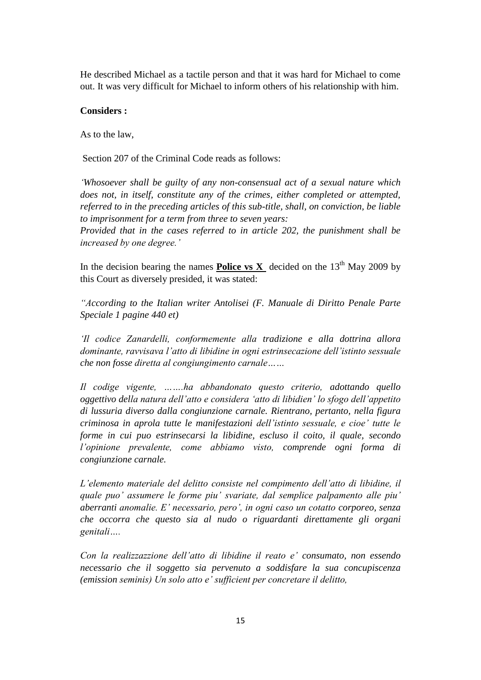He described Michael as a tactile person and that it was hard for Michael to come out. It was very difficult for Michael to inform others of his relationship with him.

#### **Considers :**

As to the law,

Section 207 of the Criminal Code reads as follows:

*'Whosoever shall be guilty of any non-consensual act of a sexual nature which does not, in itself, constitute any of the crimes, either completed or attempted, referred to in the preceding articles of this sub-title, shall, on conviction, be liable to imprisonment for a term from three to seven years:*

*Provided that in the cases referred to in article 202, the punishment shall be increased by one degree.'* 

In the decision bearing the names **Police vs X** decided on the  $13<sup>th</sup>$  May 2009 by this Court as diversely presided, it was stated:

*"According to the Italian writer Antolisei (F. Manuale di Diritto Penale Parte Speciale 1 pagine 440 et)*

*'Il codice Zanardelli, conformemente alla tradizione e alla dottrina allora dominante, ravvisava l'atto di libidine in ogni estrinsecazione dell'istinto sessuale che non fosse diretta al congiungimento carnale……*

*Il codige vigente, …….ha abbandonato questo criterio, adottando quello oggettivo della natura dell'atto e considera 'atto di libidien' lo sfogo dell'appetito di lussuria diverso dalla congiunzione carnale. Rientrano, pertanto, nella figura criminosa in aprola tutte le manifestazioni dell'istinto sessuale, e cioe' tutte le forme in cui puo estrinsecarsi la libidine, escluso il coito, il quale, secondo l'opinione prevalente, come abbiamo visto, comprende ogni forma di congiunzione carnale.*

*L'elemento materiale del delitto consiste nel compimento dell'atto di libidine, il quale puo' assumere le forme piu' svariate, dal semplice palpamento alle piu' aberranti anomalie. E' necessario, pero', in ogni caso un cotatto corporeo, senza che occorra che questo sia al nudo o riguardanti direttamente gli organi genitali….*

*Con la realizzazzione dell'atto di libidine il reato e' consumato, non essendo necessario che il soggetto sia pervenuto a soddisfare la sua concupiscenza (emission seminis) Un solo atto e' sufficient per concretare il delitto,*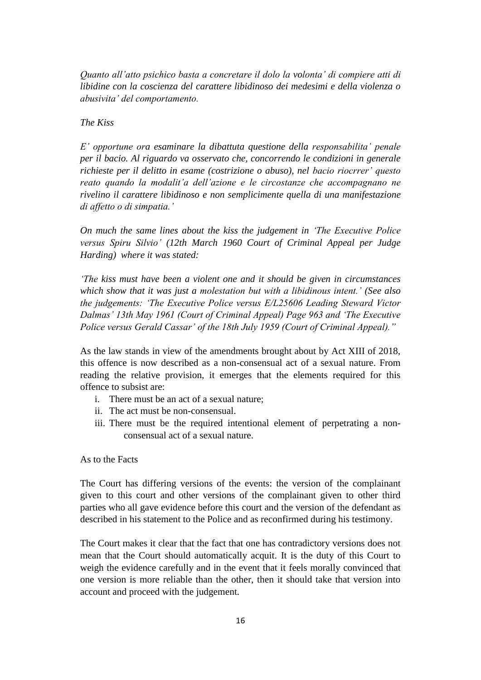*Quanto all'atto psichico basta a concretare il dolo la volonta' di compiere atti di libidine con la coscienza del carattere libidinoso dei medesimi e della violenza o abusivita' del comportamento.*

#### *The Kiss*

*E' opportune ora esaminare la dibattuta questione della responsabilita' penale per il bacio. Al riguardo va osservato che, concorrendo le condizioni in generale richieste per il delitto in esame (costrizione o abuso), nel bacio riocrrer' questo reato quando la modalit'a dell'azione e le circostanze che accompagnano ne rivelino il carattere libidinoso e non semplicimente quella di una manifestazione di affetto o di simpatia.'*

*On much the same lines about the kiss the judgement in 'The Executive Police versus Spiru Silvio' (12th March 1960 Court of Criminal Appeal per Judge Harding) where it was stated:*

*'The kiss must have been a violent one and it should be given in circumstances which show that it was just a molestation but with a libidinous intent.' (See also the judgements: 'The Executive Police versus E/L25606 Leading Steward Victor Dalmas' 13th May 1961 (Court of Criminal Appeal) Page 963 and 'The Executive Police versus Gerald Cassar' of the 18th July 1959 (Court of Criminal Appeal)."*

As the law stands in view of the amendments brought about by Act XIII of 2018, this offence is now described as a non-consensual act of a sexual nature. From reading the relative provision, it emerges that the elements required for this offence to subsist are:

- i. There must be an act of a sexual nature;
- ii. The act must be non-consensual.
- iii. There must be the required intentional element of perpetrating a nonconsensual act of a sexual nature.

#### As to the Facts

The Court has differing versions of the events: the version of the complainant given to this court and other versions of the complainant given to other third parties who all gave evidence before this court and the version of the defendant as described in his statement to the Police and as reconfirmed during his testimony.

The Court makes it clear that the fact that one has contradictory versions does not mean that the Court should automatically acquit. It is the duty of this Court to weigh the evidence carefully and in the event that it feels morally convinced that one version is more reliable than the other, then it should take that version into account and proceed with the judgement.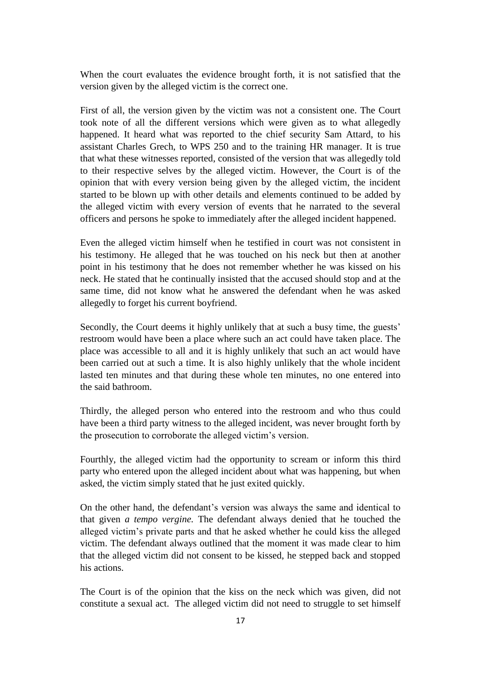When the court evaluates the evidence brought forth, it is not satisfied that the version given by the alleged victim is the correct one.

First of all, the version given by the victim was not a consistent one. The Court took note of all the different versions which were given as to what allegedly happened. It heard what was reported to the chief security Sam Attard, to his assistant Charles Grech, to WPS 250 and to the training HR manager. It is true that what these witnesses reported, consisted of the version that was allegedly told to their respective selves by the alleged victim. However, the Court is of the opinion that with every version being given by the alleged victim, the incident started to be blown up with other details and elements continued to be added by the alleged victim with every version of events that he narrated to the several officers and persons he spoke to immediately after the alleged incident happened.

Even the alleged victim himself when he testified in court was not consistent in his testimony. He alleged that he was touched on his neck but then at another point in his testimony that he does not remember whether he was kissed on his neck. He stated that he continually insisted that the accused should stop and at the same time, did not know what he answered the defendant when he was asked allegedly to forget his current boyfriend.

Secondly, the Court deems it highly unlikely that at such a busy time, the guests' restroom would have been a place where such an act could have taken place. The place was accessible to all and it is highly unlikely that such an act would have been carried out at such a time. It is also highly unlikely that the whole incident lasted ten minutes and that during these whole ten minutes, no one entered into the said bathroom.

Thirdly, the alleged person who entered into the restroom and who thus could have been a third party witness to the alleged incident, was never brought forth by the prosecution to corroborate the alleged victim's version.

Fourthly, the alleged victim had the opportunity to scream or inform this third party who entered upon the alleged incident about what was happening, but when asked, the victim simply stated that he just exited quickly.

On the other hand, the defendant's version was always the same and identical to that given *a tempo vergine.* The defendant always denied that he touched the alleged victim's private parts and that he asked whether he could kiss the alleged victim. The defendant always outlined that the moment it was made clear to him that the alleged victim did not consent to be kissed, he stepped back and stopped his actions.

The Court is of the opinion that the kiss on the neck which was given, did not constitute a sexual act. The alleged victim did not need to struggle to set himself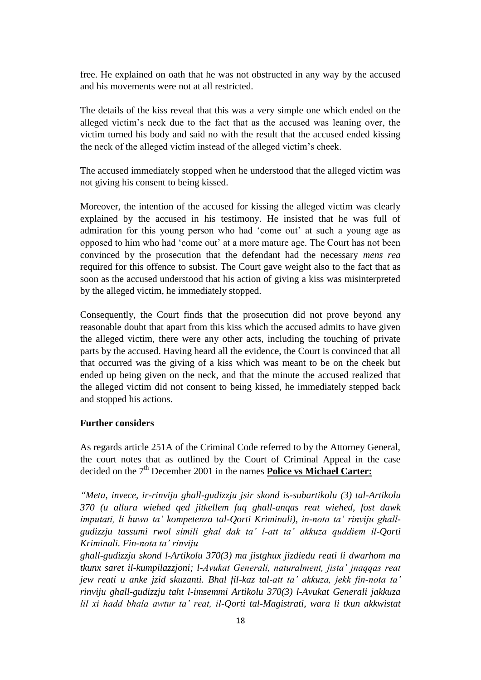free. He explained on oath that he was not obstructed in any way by the accused and his movements were not at all restricted.

The details of the kiss reveal that this was a very simple one which ended on the alleged victim's neck due to the fact that as the accused was leaning over, the victim turned his body and said no with the result that the accused ended kissing the neck of the alleged victim instead of the alleged victim's cheek.

The accused immediately stopped when he understood that the alleged victim was not giving his consent to being kissed.

Moreover, the intention of the accused for kissing the alleged victim was clearly explained by the accused in his testimony. He insisted that he was full of admiration for this young person who had 'come out' at such a young age as opposed to him who had 'come out' at a more mature age. The Court has not been convinced by the prosecution that the defendant had the necessary *mens rea*  required for this offence to subsist. The Court gave weight also to the fact that as soon as the accused understood that his action of giving a kiss was misinterpreted by the alleged victim, he immediately stopped.

Consequently, the Court finds that the prosecution did not prove beyond any reasonable doubt that apart from this kiss which the accused admits to have given the alleged victim, there were any other acts, including the touching of private parts by the accused. Having heard all the evidence, the Court is convinced that all that occurred was the giving of a kiss which was meant to be on the cheek but ended up being given on the neck, and that the minute the accused realized that the alleged victim did not consent to being kissed, he immediately stepped back and stopped his actions.

#### **Further considers**

As regards article 251A of the Criminal Code referred to by the Attorney General, the court notes that as outlined by the Court of Criminal Appeal in the case decided on the  $7<sup>th</sup>$  December 2001 in the names **Police vs Michael Carter:** 

*"Meta, invece, ir-rinviju ghall-gudizzju jsir skond is-subartikolu (3) tal-Artikolu 370 (u allura wiehed qed jitkellem fuq ghall-anqas reat wiehed, fost dawk imputati, li huwa ta' kompetenza tal-Qorti Kriminali), in-nota ta' rinviju ghallgudizzju tassumi rwol simili ghal dak ta' l-att ta' akkuza quddiem il-Qorti Kriminali. Fin-nota ta' rinviju*

*ghall-gudizzju skond l-Artikolu 370(3) ma jistghux jizdiedu reati li dwarhom ma tkunx saret il-kumpilazzjoni; l-Avukat Generali, naturalment, jista' jnaqqas reat jew reati u anke jzid skuzanti. Bhal fil-kaz tal-att ta' akkuza, jekk fin-nota ta' rinviju ghall-gudizzju taht l-imsemmi Artikolu 370(3) l-Avukat Generali jakkuza lil xi hadd bhala awtur ta' reat, il-Qorti tal-Magistrati, wara li tkun akkwistat*